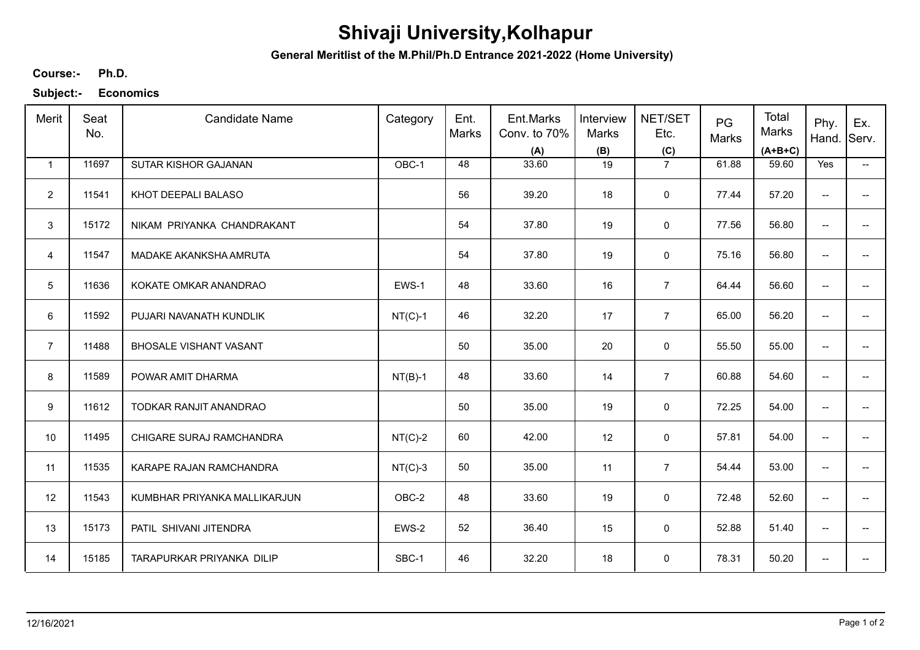## **Shivaji University,Kolhapur**

**General Meritlist of the M.Phil/Ph.D Entrance 2021-2022 (Home University)**

## **Ph.D. Course:-**

**Subject:- Economics**

| Merit          | Seat<br>No. | <b>Candidate Name</b>         | Category  | Ent.<br>Marks | Ent.Marks<br>Conv. to 70%<br>(A) | Interview<br>Marks<br>(B) | NET/SET<br>Etc.<br>(C) | PG<br>Marks | Total<br><b>Marks</b><br>$(A+B+C)$ | Phy.<br>Hand.            | Ex.<br>Serv.             |
|----------------|-------------|-------------------------------|-----------|---------------|----------------------------------|---------------------------|------------------------|-------------|------------------------------------|--------------------------|--------------------------|
| $\mathbf{1}$   | 11697       | SUTAR KISHOR GAJANAN          | OBC-1     | 48            | 33.60                            | 19                        | $\overline{7}$         | 61.88       | 59.60                              | Yes                      | $\overline{\phantom{a}}$ |
| $\overline{2}$ | 11541       | KHOT DEEPALI BALASO           |           | 56            | 39.20                            | 18                        | 0                      | 77.44       | 57.20                              | $\overline{\phantom{a}}$ |                          |
| 3              | 15172       | NIKAM PRIYANKA CHANDRAKANT    |           | 54            | 37.80                            | 19                        | $\mathsf 0$            | 77.56       | 56.80                              | $\overline{\phantom{a}}$ | $\qquad \qquad -$        |
| $\overline{4}$ | 11547       | MADAKE AKANKSHA AMRUTA        |           | 54            | 37.80                            | 19                        | $\mathsf 0$            | 75.16       | 56.80                              | $\overline{\phantom{a}}$ | $\overline{\phantom{0}}$ |
| 5              | 11636       | KOKATE OMKAR ANANDRAO         | EWS-1     | 48            | 33.60                            | 16                        | $\overline{7}$         | 64.44       | 56.60                              | $\overline{\phantom{a}}$ | $\overline{\phantom{a}}$ |
| 6              | 11592       | PUJARI NAVANATH KUNDLIK       | $NT(C)-1$ | 46            | 32.20                            | 17                        | $\overline{7}$         | 65.00       | 56.20                              | $\overline{\phantom{m}}$ | $\overline{\phantom{a}}$ |
| $\overline{7}$ | 11488       | <b>BHOSALE VISHANT VASANT</b> |           | 50            | 35.00                            | 20                        | 0                      | 55.50       | 55.00                              | $\overline{\phantom{a}}$ |                          |
| 8              | 11589       | POWAR AMIT DHARMA             | $NT(B)-1$ | 48            | 33.60                            | 14                        | $\overline{7}$         | 60.88       | 54.60                              | $\overline{\phantom{a}}$ |                          |
| 9              | 11612       | TODKAR RANJIT ANANDRAO        |           | 50            | 35.00                            | 19                        | $\mathbf 0$            | 72.25       | 54.00                              | $\overline{\phantom{a}}$ |                          |
| 10             | 11495       | CHIGARE SURAJ RAMCHANDRA      | $NT(C)-2$ | 60            | 42.00                            | 12                        | $\mathsf 0$            | 57.81       | 54.00                              | --                       |                          |
| 11             | 11535       | KARAPE RAJAN RAMCHANDRA       | $NT(C)-3$ | 50            | 35.00                            | 11                        | $\overline{7}$         | 54.44       | 53.00                              | $\overline{\phantom{a}}$ | --                       |
| 12             | 11543       | KUMBHAR PRIYANKA MALLIKARJUN  | OBC-2     | 48            | 33.60                            | 19                        | 0                      | 72.48       | 52.60                              | $\overline{\phantom{m}}$ |                          |
| 13             | 15173       | PATIL SHIVANI JITENDRA        | EWS-2     | 52            | 36.40                            | 15                        | 0                      | 52.88       | 51.40                              | $\overline{\phantom{a}}$ | $\overline{\phantom{a}}$ |
| 14             | 15185       | TARAPURKAR PRIYANKA DILIP     | SBC-1     | 46            | 32.20                            | 18                        | 0                      | 78.31       | 50.20                              | $\overline{\phantom{a}}$ |                          |